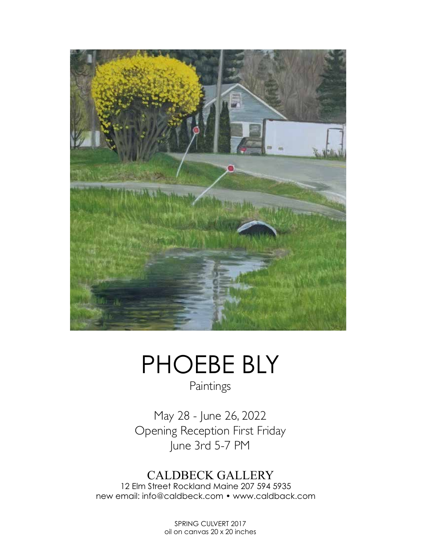

## PHOEBE BLY

Paintings

May 28 - June 26, 2022 Opening Reception First Friday June 3rd 5-7 PM

## CALDBECK GALLERY

12 Elm Street Rockland Maine 207 594 5935 new email: info@caldbeck.com • www.caldback.com

> SPRING CULVERT 2017 oil on canvas 20 x 20 inches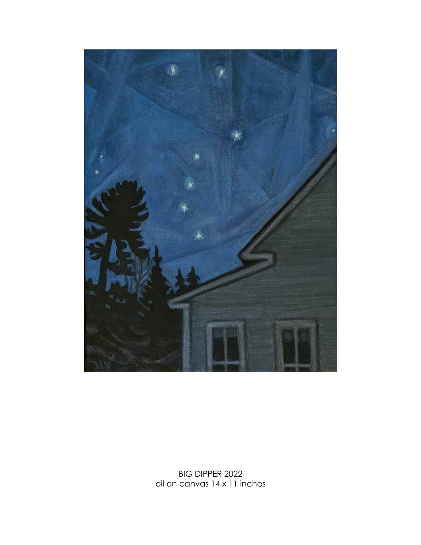

BIG DIPPER 2022 oil on canvas 14 x 11 inches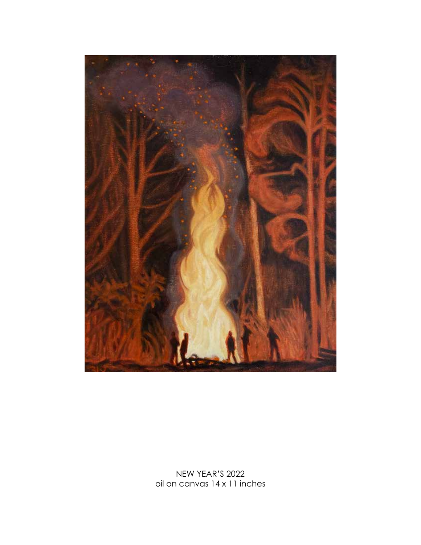

NEW YEAR'S 2022 oil on canvas 14 x 11 inches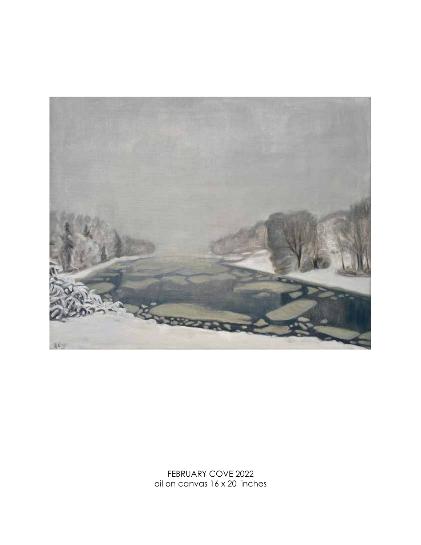

FEBRUARY COVE 2022 oil on canvas 16 x 20 inches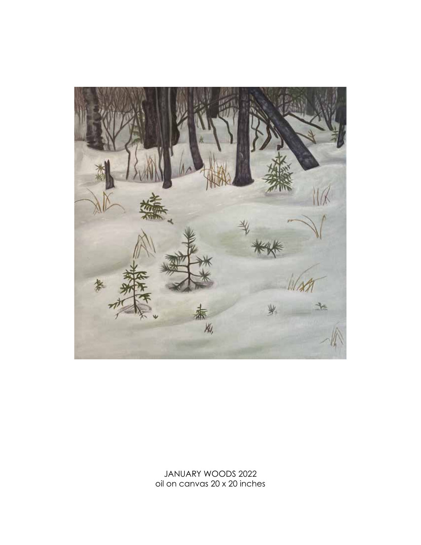

JANUARY WOODS 2022 oil on canvas 20 x 20 inches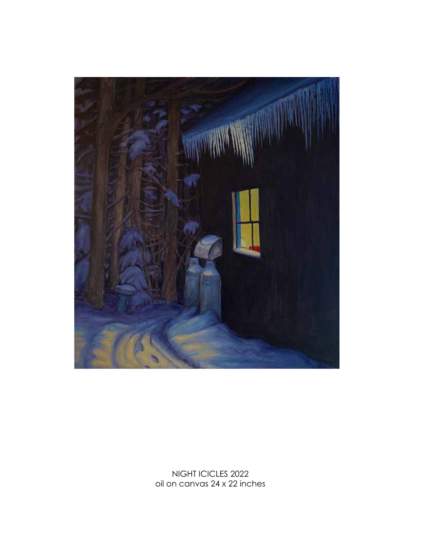

NIGHT ICICLES 2022 oil on canvas 24 x 22 inches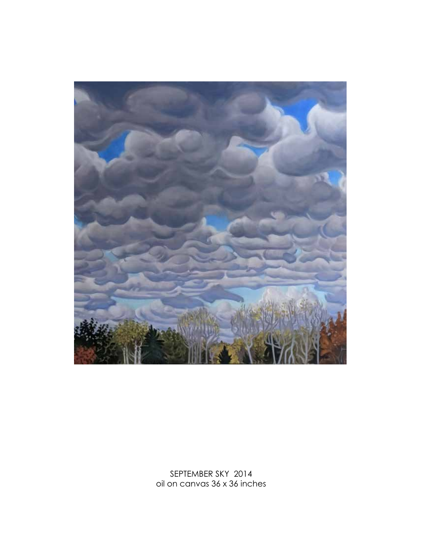

SEPTEMBER SKY 2014 oil on canvas 36 x 36 inches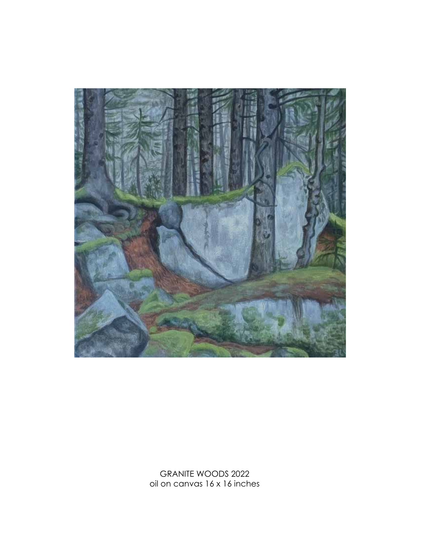

GRANITE WOODS 2022 oil on canvas 16 x 16 inches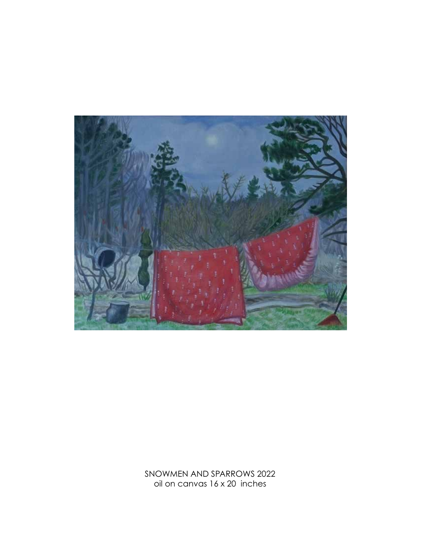

SNOWMEN AND SPARROWS 2022 oil on canvas 16 x 20 inches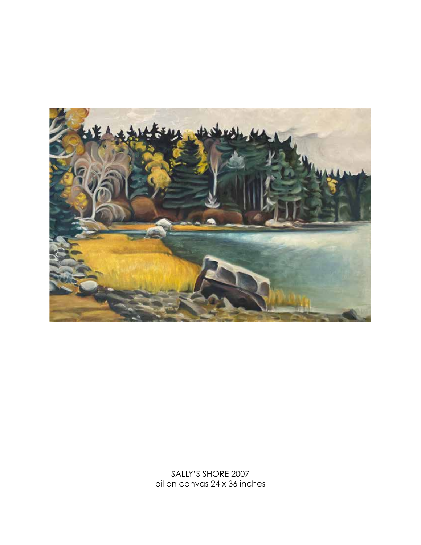

SALLY'S SHORE 2007 oil on canvas 24 x 36 inches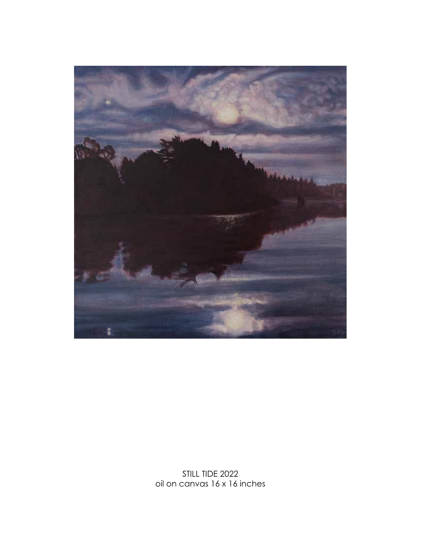

STILL TIDE 2022 oil on canvas 16 x 16 inches